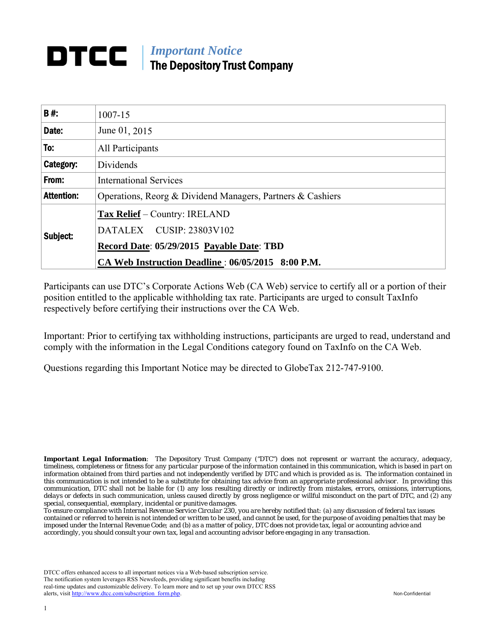# *Important Notice*  The Depository Trust Company

| <b>B#:</b>        | $1007 - 15$                                                                                                                                                        |  |  |
|-------------------|--------------------------------------------------------------------------------------------------------------------------------------------------------------------|--|--|
| Date:             | June 01, 2015                                                                                                                                                      |  |  |
| To:               | All Participants                                                                                                                                                   |  |  |
| Category:         | Dividends                                                                                                                                                          |  |  |
| From:             | <b>International Services</b>                                                                                                                                      |  |  |
| <b>Attention:</b> | Operations, Reorg & Dividend Managers, Partners & Cashiers                                                                                                         |  |  |
| Subject:          | <b>Tax Relief</b> – Country: IRELAND<br>DATALEX CUSIP: 23803V102<br>Record Date: 05/29/2015 Payable Date: TBD<br>CA Web Instruction Deadline: 06/05/2015 8:00 P.M. |  |  |

Participants can use DTC's Corporate Actions Web (CA Web) service to certify all or a portion of their position entitled to the applicable withholding tax rate. Participants are urged to consult TaxInfo respectively before certifying their instructions over the CA Web.

Important: Prior to certifying tax withholding instructions, participants are urged to read, understand and comply with the information in the Legal Conditions category found on TaxInfo on the CA Web.

Questions regarding this Important Notice may be directed to GlobeTax 212-747-9100.

*Important Legal Information: The Depository Trust Company ("DTC") does not represent or warrant the accuracy, adequacy, timeliness, completeness or fitness for any particular purpose of the information contained in this communication, which is based in part on information obtained from third parties and not independently verified by DTC and which is provided as is. The information contained in this communication is not intended to be a substitute for obtaining tax advice from an appropriate professional advisor. In providing this communication, DTC shall not be liable for (1) any loss resulting directly or indirectly from mistakes, errors, omissions, interruptions, delays or defects in such communication, unless caused directly by gross negligence or willful misconduct on the part of DTC, and (2) any special, consequential, exemplary, incidental or punitive damages.* 

*To ensure compliance with Internal Revenue Service Circular 230, you are hereby notified that: (a) any discussion of federal tax issues contained or referred to herein is not intended or written to be used, and cannot be used, for the purpose of avoiding penalties that may be imposed under the Internal Revenue Code; and (b) as a matter of policy, DTC does not provide tax, legal or accounting advice and accordingly, you should consult your own tax, legal and accounting advisor before engaging in any transaction.*

DTCC offers enhanced access to all important notices via a Web-based subscription service. The notification system leverages RSS Newsfeeds, providing significant benefits including real-time updates and customizable delivery. To learn more and to set up your own DTCC RSS alerts, visit http://www.dtcc.com/subscription\_form.php. Non-Confidential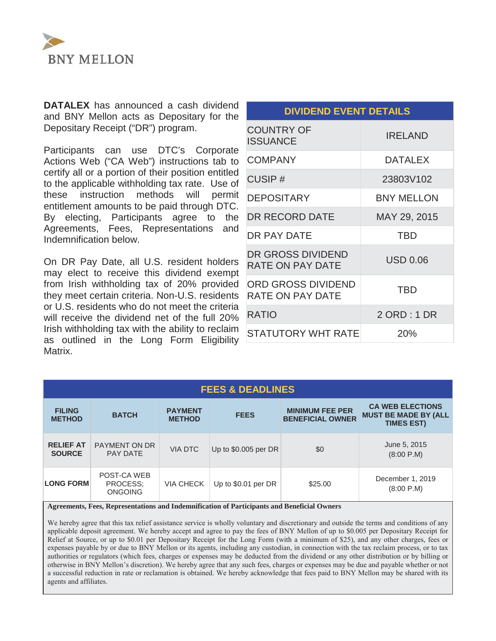

**DATALEX** has announced a cash dividend and BNY Mellon acts as Depositary for the Depositary Receipt ("DR") program.

Participants can use DTC's Corporate Actions Web ("CA Web") instructions tab to certify all or a portion of their position entitled to the applicable withholding tax rate. Use of these instruction methods will permit entitlement amounts to be paid through DTC. By electing, Participants agree to the Agreements, Fees, Representations and Indemnification below.

On DR Pay Date, all U.S. resident holders may elect to receive this dividend exempt from Irish withholding tax of 20% provided they meet certain criteria. Non-U.S. residents or U.S. residents who do not meet the criteria will receive the dividend net of the full 20% Irish withholding tax with the ability to reclaim as outlined in the Long Form Eligibility Matrix.

| <b>DIVIDEND EVENT DETAILS</b>                 |                   |  |  |  |  |
|-----------------------------------------------|-------------------|--|--|--|--|
| <b>COUNTRY OF</b><br><b>ISSUANCE</b>          | IRELAND           |  |  |  |  |
| <b>COMPANY</b>                                | <b>DATALEX</b>    |  |  |  |  |
| <b>CUSIP#</b>                                 | 23803V102         |  |  |  |  |
| <b>DEPOSITARY</b>                             | <b>BNY MELLON</b> |  |  |  |  |
| DR RECORD DATE                                | MAY 29, 2015      |  |  |  |  |
| DR PAY DATE                                   | TBD               |  |  |  |  |
| DR GROSS DIVIDEND<br><b>RATE ON PAY DATE</b>  | <b>USD 0.06</b>   |  |  |  |  |
| ORD GROSS DIVIDEND<br><b>RATE ON PAY DATE</b> | TBD               |  |  |  |  |
| <b>RATIO</b>                                  | 2 ORD : 1 DR      |  |  |  |  |
| <b>STATUTORY WHT RATE</b>                     | 20%               |  |  |  |  |

| <b>FEES &amp; DEADLINES</b>       |                                           |                                                                             |                      |         |                                |
|-----------------------------------|-------------------------------------------|-----------------------------------------------------------------------------|----------------------|---------|--------------------------------|
| <b>FILING</b><br><b>METHOD</b>    | <b>BATCH</b>                              | <b>CA WEB ELECTIONS</b><br><b>MUST BE MADE BY (ALL</b><br><b>TIMES EST)</b> |                      |         |                                |
| <b>RELIEF AT</b><br><b>SOURCE</b> | <b>PAYMENT ON DR</b><br>PAY DATE          | <b>VIA DTC</b>                                                              | Up to \$0.005 per DR | \$0     | June 5, 2015<br>(8:00 P.M)     |
| <b>LONG FORM</b>                  | POST-CA WEB<br>PROCESS:<br><b>ONGOING</b> | <b>VIA CHECK</b>                                                            | Up to \$0.01 per DR  | \$25.00 | December 1, 2019<br>(8:00 P.M) |

**Agreements, Fees, Representations and Indemnification of Participants and Beneficial Owners**

We hereby agree that this tax relief assistance service is wholly voluntary and discretionary and outside the terms and conditions of any applicable deposit agreement. We hereby accept and agree to pay the fees of BNY Mellon of up to \$0.005 per Depositary Receipt for Relief at Source, or up to \$0.01 per Depositary Receipt for the Long Form (with a minimum of \$25), and any other charges, fees or expenses payable by or due to BNY Mellon or its agents, including any custodian, in connection with the tax reclaim process, or to tax authorities or regulators (which fees, charges or expenses may be deducted from the dividend or any other distribution or by billing or otherwise in BNY Mellon's discretion). We hereby agree that any such fees, charges or expenses may be due and payable whether or not a successful reduction in rate or reclamation is obtained. We hereby acknowledge that fees paid to BNY Mellon may be shared with its agents and affiliates.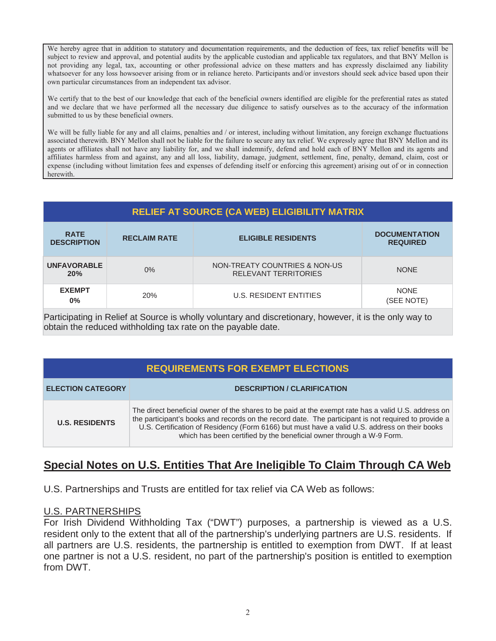We hereby agree that in addition to statutory and documentation requirements, and the deduction of fees, tax relief benefits will be subject to review and approval, and potential audits by the applicable custodian and applicable tax regulators, and that BNY Mellon is not providing any legal, tax, accounting or other professional advice on these matters and has expressly disclaimed any liability whatsoever for any loss howsoever arising from or in reliance hereto. Participants and/or investors should seek advice based upon their own particular circumstances from an independent tax advisor.

We certify that to the best of our knowledge that each of the beneficial owners identified are eligible for the preferential rates as stated and we declare that we have performed all the necessary due diligence to satisfy ourselves as to the accuracy of the information submitted to us by these beneficial owners.

We will be fully liable for any and all claims, penalties and / or interest, including without limitation, any foreign exchange fluctuations associated therewith. BNY Mellon shall not be liable for the failure to secure any tax relief. We expressly agree that BNY Mellon and its agents or affiliates shall not have any liability for, and we shall indemnify, defend and hold each of BNY Mellon and its agents and affiliates harmless from and against, any and all loss, liability, damage, judgment, settlement, fine, penalty, demand, claim, cost or expense (including without limitation fees and expenses of defending itself or enforcing this agreement) arising out of or in connection herewith.

| <b>RELIEF AT SOURCE (CA WEB) ELIGIBILITY MATRIX</b> |                                                                                             |                                                              |                           |  |  |  |
|-----------------------------------------------------|---------------------------------------------------------------------------------------------|--------------------------------------------------------------|---------------------------|--|--|--|
| <b>RATE</b><br><b>DESCRIPTION</b>                   | <b>DOCUMENTATION</b><br><b>RECLAIM RATE</b><br><b>ELIGIBLE RESIDENTS</b><br><b>REQUIRED</b> |                                                              |                           |  |  |  |
| <b>UNFAVORABLE</b><br>20%                           | 0%                                                                                          | NON-TREATY COUNTRIES & NON-US<br><b>RELEVANT TERRITORIES</b> | <b>NONE</b>               |  |  |  |
| <b>EXEMPT</b><br>$0\%$                              | 20%                                                                                         | U.S. RESIDENT ENTITIES                                       | <b>NONE</b><br>(SEE NOTE) |  |  |  |

Participating in Relief at Source is wholly voluntary and discretionary, however, it is the only way to obtain the reduced withholding tax rate on the payable date.

# **REQUIREMENTS FOR EXEMPT ELECTIONS**

| <b>ELECTION CATEGORY</b> | <b>DESCRIPTION / CLARIFICATION</b>                                                                                                                                                                                                                                                                                                                                                   |
|--------------------------|--------------------------------------------------------------------------------------------------------------------------------------------------------------------------------------------------------------------------------------------------------------------------------------------------------------------------------------------------------------------------------------|
| <b>U.S. RESIDENTS</b>    | The direct beneficial owner of the shares to be paid at the exempt rate has a valid U.S. address on<br>the participant's books and records on the record date. The participant is not required to provide a<br>U.S. Certification of Residency (Form 6166) but must have a valid U.S. address on their books<br>which has been certified by the beneficial owner through a W-9 Form. |

# **Special Notes on U.S. Entities That Are Ineligible To Claim Through CA Web**

U.S. Partnerships and Trusts are entitled for tax relief via CA Web as follows:

# U.S. PARTNERSHIPS

For Irish Dividend Withholding Tax ("DWT") purposes, a partnership is viewed as a U.S. resident only to the extent that all of the partnership's underlying partners are U.S. residents. If all partners are U.S. residents, the partnership is entitled to exemption from DWT. If at least one partner is not a U.S. resident, no part of the partnership's position is entitled to exemption from DWT.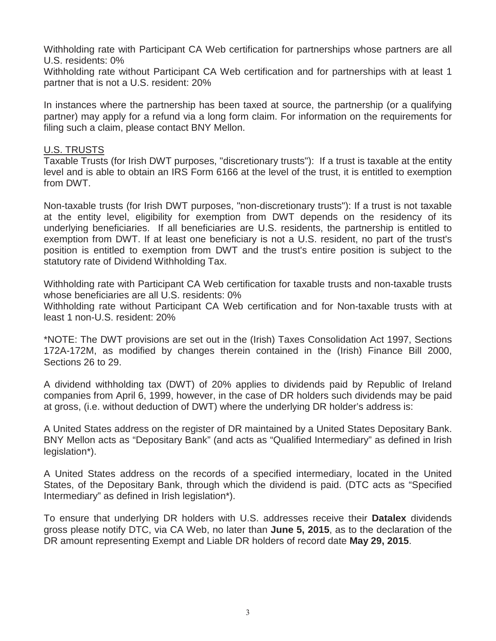Withholding rate with Participant CA Web certification for partnerships whose partners are all U.S. residents: 0%

Withholding rate without Participant CA Web certification and for partnerships with at least 1 partner that is not a U.S. resident: 20%

In instances where the partnership has been taxed at source, the partnership (or a qualifying partner) may apply for a refund via a long form claim. For information on the requirements for filing such a claim, please contact BNY Mellon.

## U.S. TRUSTS

Taxable Trusts (for Irish DWT purposes, "discretionary trusts"): If a trust is taxable at the entity level and is able to obtain an IRS Form 6166 at the level of the trust, it is entitled to exemption from DWT.

Non-taxable trusts (for Irish DWT purposes, "non-discretionary trusts"): If a trust is not taxable at the entity level, eligibility for exemption from DWT depends on the residency of its underlying beneficiaries. If all beneficiaries are U.S. residents, the partnership is entitled to exemption from DWT. If at least one beneficiary is not a U.S. resident, no part of the trust's position is entitled to exemption from DWT and the trust's entire position is subject to the statutory rate of Dividend Withholding Tax.

Withholding rate with Participant CA Web certification for taxable trusts and non-taxable trusts whose beneficiaries are all U.S. residents: 0%

Withholding rate without Participant CA Web certification and for Non-taxable trusts with at least 1 non-U.S. resident: 20%

\*NOTE: The DWT provisions are set out in the (Irish) Taxes Consolidation Act 1997, Sections 172A-172M, as modified by changes therein contained in the (Irish) Finance Bill 2000, Sections 26 to 29.

A dividend withholding tax (DWT) of 20% applies to dividends paid by Republic of Ireland companies from April 6, 1999, however, in the case of DR holders such dividends may be paid at gross, (i.e. without deduction of DWT) where the underlying DR holder's address is:

A United States address on the register of DR maintained by a United States Depositary Bank. BNY Mellon acts as "Depositary Bank" (and acts as "Qualified Intermediary" as defined in Irish legislation\*).

A United States address on the records of a specified intermediary, located in the United States, of the Depositary Bank, through which the dividend is paid. (DTC acts as "Specified Intermediary" as defined in Irish legislation\*).

To ensure that underlying DR holders with U.S. addresses receive their **Datalex** dividends gross please notify DTC, via CA Web, no later than **June 5, 2015**, as to the declaration of the DR amount representing Exempt and Liable DR holders of record date **May 29, 2015**.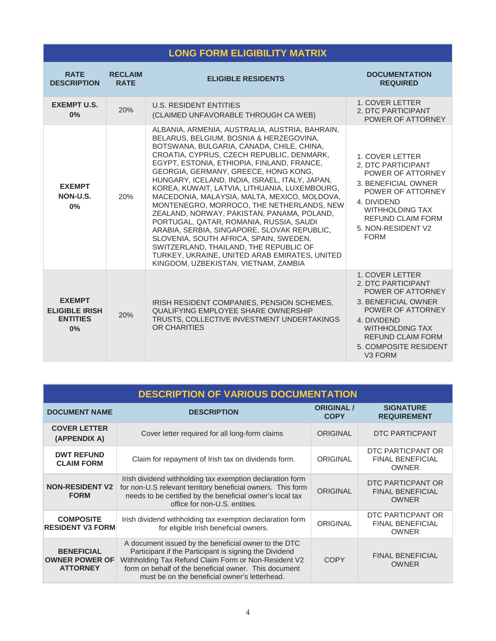| <b>LONG FORM ELIGIBILITY MATRIX</b>                             |                               |                                                                                                                                                                                                                                                                                                                                                                                                                                                                                                                                                                                                                                                                                                                                                                                                |                                                                                                                                                                                                                             |  |  |
|-----------------------------------------------------------------|-------------------------------|------------------------------------------------------------------------------------------------------------------------------------------------------------------------------------------------------------------------------------------------------------------------------------------------------------------------------------------------------------------------------------------------------------------------------------------------------------------------------------------------------------------------------------------------------------------------------------------------------------------------------------------------------------------------------------------------------------------------------------------------------------------------------------------------|-----------------------------------------------------------------------------------------------------------------------------------------------------------------------------------------------------------------------------|--|--|
| <b>RATE</b><br><b>DESCRIPTION</b>                               | <b>RECLAIM</b><br><b>RATE</b> | <b>ELIGIBLE RESIDENTS</b>                                                                                                                                                                                                                                                                                                                                                                                                                                                                                                                                                                                                                                                                                                                                                                      | <b>DOCUMENTATION</b><br><b>REQUIRED</b>                                                                                                                                                                                     |  |  |
| <b>EXEMPT U.S.</b><br>0%                                        | 20%                           | <b>U.S. RESIDENT ENTITIES</b><br>(CLAIMED UNFAVORABLE THROUGH CA WEB)                                                                                                                                                                                                                                                                                                                                                                                                                                                                                                                                                                                                                                                                                                                          | <b>1. COVER LETTER</b><br>2. DTC PARTICIPANT<br>POWER OF ATTORNEY                                                                                                                                                           |  |  |
| <b>EXEMPT</b><br>NON-U.S.<br>0%                                 | 20%                           | ALBANIA, ARMENIA, AUSTRALIA, AUSTRIA, BAHRAIN,<br>BELARUS, BELGIUM, BOSNIA & HERZEGOVINA,<br>BOTSWANA, BULGARIA, CANADA, CHILE, CHINA,<br>CROATIA, CYPRUS, CZECH REPUBLIC, DENMARK,<br>EGYPT, ESTONIA, ETHIOPIA, FINLAND, FRANCE,<br>GEORGIA, GERMANY, GREECE, HONG KONG,<br>HUNGARY, ICELAND, INDIA, ISRAEL, ITALY, JAPAN,<br>KOREA, KUWAIT, LATVIA, LITHUANIA, LUXEMBOURG,<br>MACEDONIA, MALAYSIA, MALTA, MEXICO, MOLDOVA,<br>MONTENEGRO, MORROCO, THE NETHERLANDS, NEW<br>ZEALAND, NORWAY, PAKISTAN, PANAMA, POLAND,<br>PORTUGAL, QATAR, ROMANIA, RUSSIA, SAUDI<br>ARABIA, SERBIA, SINGAPORE, SLOVAK REPUBLIC,<br>SLOVENIA, SOUTH AFRICA, SPAIN, SWEDEN,<br>SWITZERLAND, THAILAND, THE REPUBLIC OF<br>TURKEY, UKRAINE, UNITED ARAB EMIRATES, UNITED<br>KINGDOM, UZBEKISTAN, VIETNAM, ZAMBIA | 1. COVER LETTER<br>2. DTC PARTICIPANT<br>POWER OF ATTORNEY<br>3. BENEFICIAL OWNER<br>POWER OF ATTORNEY<br>4. DIVIDEND<br><b>WITHHOLDING TAX</b><br><b>REFUND CLAIM FORM</b><br>5. NON-RESIDENT V2<br><b>FORM</b>            |  |  |
| <b>EXEMPT</b><br><b>ELIGIBLE IRISH</b><br><b>ENTITIES</b><br>0% | 20%                           | IRISH RESIDENT COMPANIES, PENSION SCHEMES,<br><b>QUALIFYING EMPLOYEE SHARE OWNERSHIP</b><br>TRUSTS, COLLECTIVE INVESTMENT UNDERTAKINGS<br>OR CHARITIES                                                                                                                                                                                                                                                                                                                                                                                                                                                                                                                                                                                                                                         | <b>1. COVER LETTER</b><br>2. DTC PARTICIPANT<br>POWER OF ATTORNEY<br>3. BENEFICIAL OWNER<br>POWER OF ATTORNEY<br>4. DIVIDEND<br><b>WITHHOLDING TAX</b><br>REFUND CLAIM FORM<br>5. COMPOSITE RESIDENT<br>V <sub>3</sub> FORM |  |  |

| <b>DESCRIPTION OF VARIOUS DOCUMENTATION</b>                   |                                                                                                                                                                                                                                                                                  |                                  |                                                              |  |  |  |
|---------------------------------------------------------------|----------------------------------------------------------------------------------------------------------------------------------------------------------------------------------------------------------------------------------------------------------------------------------|----------------------------------|--------------------------------------------------------------|--|--|--|
| <b>DOCUMENT NAME</b>                                          | <b>DESCRIPTION</b>                                                                                                                                                                                                                                                               | <b>ORIGINAL /</b><br><b>COPY</b> | <b>SIGNATURE</b><br><b>REQUIREMENT</b>                       |  |  |  |
| <b>COVER LETTER</b><br>(APPENDIX A)                           | Cover letter required for all long-form claims                                                                                                                                                                                                                                   | <b>ORIGINAL</b>                  | DTC PARTICPANT                                               |  |  |  |
| <b>DWT REFUND</b><br><b>CLAIM FORM</b>                        | Claim for repayment of Irish tax on dividends form.                                                                                                                                                                                                                              | <b>ORIGINAL</b>                  | DTC PARTICPANT OR<br><b>FINAL BENEFICIAL</b><br><b>OWNER</b> |  |  |  |
| <b>NON-RESIDENT V2</b><br><b>FORM</b>                         | Irish dividend withholding tax exemption declaration form<br>for non-U.S relevant territory beneficial owners. This form<br>needs to be certified by the beneficial owner's local tax<br>office for non-U.S. entities.                                                           | <b>ORIGINAL</b>                  | DTC PARTICPANT OR<br><b>FINAL BENEFICIAL</b><br><b>OWNER</b> |  |  |  |
| <b>COMPOSITE</b><br><b>RESIDENT V3 FORM</b>                   | Irish dividend withholding tax exemption declaration form<br>for eligible Irish beneficial owners.                                                                                                                                                                               | <b>ORIGINAL</b>                  | DTC PARTICPANT OR<br><b>FINAL BENEFICIAL</b><br><b>OWNER</b> |  |  |  |
| <b>BENEFICIAL</b><br><b>OWNER POWER OF</b><br><b>ATTORNEY</b> | A document issued by the beneficial owner to the DTC<br>Participant if the Participant is signing the Dividend<br>Withholding Tax Refund Claim Form or Non-Resident V2<br>form on behalf of the beneficial owner. This document<br>must be on the beneficial owner's letterhead. | <b>COPY</b>                      | <b>FINAL BENEFICIAL</b><br><b>OWNER</b>                      |  |  |  |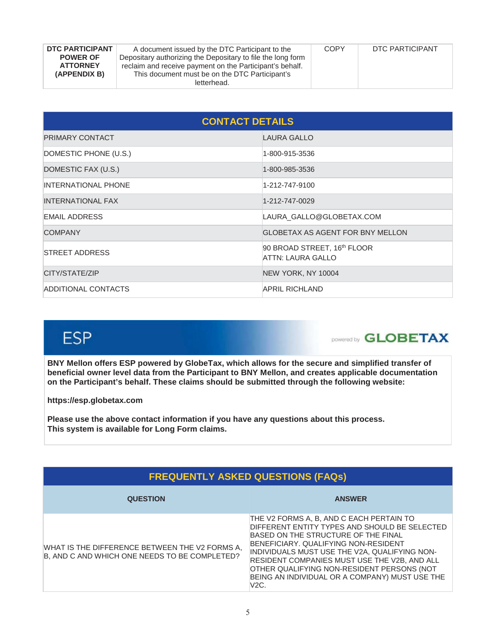| DTC PARTICIPANT<br><b>POWER OF</b><br><b>ATTORNEY</b><br>(APPENDIX B) | A document issued by the DTC Participant to the<br>Depositary authorizing the Depositary to file the long form<br>reclaim and receive payment on the Participant's behalf.<br>This document must be on the DTC Participant's<br>letterhead. | COPY | DTC PARTICIPANT |
|-----------------------------------------------------------------------|---------------------------------------------------------------------------------------------------------------------------------------------------------------------------------------------------------------------------------------------|------|-----------------|
|-----------------------------------------------------------------------|---------------------------------------------------------------------------------------------------------------------------------------------------------------------------------------------------------------------------------------------|------|-----------------|

| <b>CONTACT DETAILS</b>     |                                                  |  |  |  |
|----------------------------|--------------------------------------------------|--|--|--|
| <b>PRIMARY CONTACT</b>     | <b>LAURA GALLO</b>                               |  |  |  |
| DOMESTIC PHONE (U.S.)      | 1-800-915-3536                                   |  |  |  |
| DOMESTIC FAX (U.S.)        | 1-800-985-3536                                   |  |  |  |
| <b>INTERNATIONAL PHONE</b> | 1-212-747-9100                                   |  |  |  |
| <b>INTERNATIONAL FAX</b>   | 1-212-747-0029                                   |  |  |  |
| <b>EMAIL ADDRESS</b>       | LAURA_GALLO@GLOBETAX.COM                         |  |  |  |
| <b>COMPANY</b>             | <b>GLOBETAX AS AGENT FOR BNY MELLON</b>          |  |  |  |
| <b>STREET ADDRESS</b>      | 90 BROAD STREET, 16th FLOOR<br>ATTN: LAURA GALLO |  |  |  |
| CITY/STATE/ZIP             | NEW YORK, NY 10004                               |  |  |  |
| ADDITIONAL CONTACTS        | <b>APRIL RICHLAND</b>                            |  |  |  |

# **ESP**

powered by **GLOBETAX** 

**BNY Mellon offers ESP powered by GlobeTax, which allows for the secure and simplified transfer of beneficial owner level data from the Participant to BNY Mellon, and creates applicable documentation on the Participant's behalf. These claims should be submitted through the following website:**

**https://esp.globetax.com**

**Please use the above contact information if you have any questions about this process. This system is available for Long Form claims.**

| <b>FREQUENTLY ASKED QUESTIONS (FAQs)</b>                                                        |                                                                                                                                                                                                                                                                                                                                                                                   |  |  |  |
|-------------------------------------------------------------------------------------------------|-----------------------------------------------------------------------------------------------------------------------------------------------------------------------------------------------------------------------------------------------------------------------------------------------------------------------------------------------------------------------------------|--|--|--|
| <b>QUESTION</b>                                                                                 | <b>ANSWER</b>                                                                                                                                                                                                                                                                                                                                                                     |  |  |  |
| WHAT IS THE DIFFERENCE BETWEEN THE V2 FORMS A,<br>B, AND C AND WHICH ONE NEEDS TO BE COMPLETED? | THE V2 FORMS A, B, AND C EACH PERTAIN TO<br>DIFFERENT ENTITY TYPES AND SHOULD BE SELECTED<br>BASED ON THE STRUCTURE OF THE FINAL<br>BENEFICIARY, QUALIFYING NON-RESIDENT<br>INDIVIDUALS MUST USE THE V2A, QUALIFYING NON-<br>RESIDENT COMPANIES MUST USE THE V2B, AND ALL<br>OTHER QUALIFYING NON-RESIDENT PERSONS (NOT<br>BEING AN INDIVIDUAL OR A COMPANY) MUST USE THE<br>V2C. |  |  |  |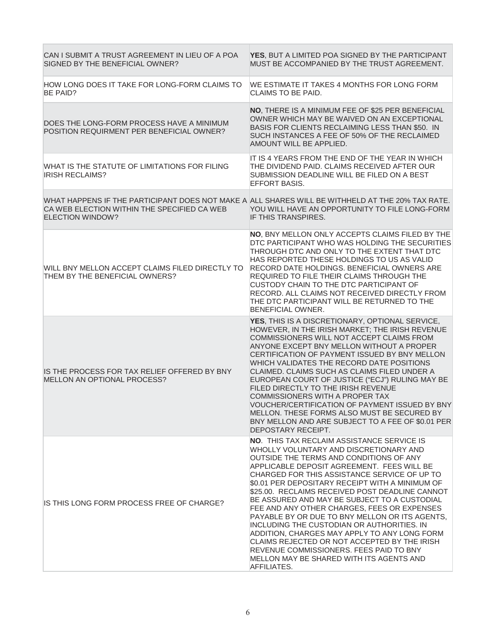| CAN I SUBMIT A TRUST AGREEMENT IN LIEU OF A POA<br>SIGNED BY THE BENEFICIAL OWNER?                                                                                         | YES, BUT A LIMITED POA SIGNED BY THE PARTICIPANT<br>MUST BE ACCOMPANIED BY THE TRUST AGREEMENT.                                                                                                                                                                                                                                                                                                                                                                                                                                                                                                                                                                                                                                                 |
|----------------------------------------------------------------------------------------------------------------------------------------------------------------------------|-------------------------------------------------------------------------------------------------------------------------------------------------------------------------------------------------------------------------------------------------------------------------------------------------------------------------------------------------------------------------------------------------------------------------------------------------------------------------------------------------------------------------------------------------------------------------------------------------------------------------------------------------------------------------------------------------------------------------------------------------|
| HOW LONG DOES IT TAKE FOR LONG-FORM CLAIMS TO<br><b>BE PAID?</b>                                                                                                           | WE ESTIMATE IT TAKES 4 MONTHS FOR LONG FORM<br><b>CLAIMS TO BE PAID.</b>                                                                                                                                                                                                                                                                                                                                                                                                                                                                                                                                                                                                                                                                        |
| DOES THE LONG-FORM PROCESS HAVE A MINIMUM<br>POSITION REQUIRMENT PER BENEFICIAL OWNER?                                                                                     | NO, THERE IS A MINIMUM FEE OF \$25 PER BENEFICIAL<br>OWNER WHICH MAY BE WAIVED ON AN EXCEPTIONAL<br>BASIS FOR CLIENTS RECLAIMING LESS THAN \$50. IN<br>SUCH INSTANCES A FEE OF 50% OF THE RECLAIMED<br>AMOUNT WILL BE APPLIED.                                                                                                                                                                                                                                                                                                                                                                                                                                                                                                                  |
| WHAT IS THE STATUTE OF LIMITATIONS FOR FILING<br><b>IRISH RECLAIMS?</b>                                                                                                    | IT IS 4 YEARS FROM THE END OF THE YEAR IN WHICH<br>THE DIVIDEND PAID. CLAIMS RECEIVED AFTER OUR<br>SUBMISSION DEADLINE WILL BE FILED ON A BEST<br>EFFORT BASIS.                                                                                                                                                                                                                                                                                                                                                                                                                                                                                                                                                                                 |
| WHAT HAPPENS IF THE PARTICIPANT DOES NOT MAKE A ALL SHARES WILL BE WITHHELD AT THE 20% TAX RATE.<br>CA WEB ELECTION WITHIN THE SPECIFIED CA WEB<br><b>ELECTION WINDOW?</b> | YOU WILL HAVE AN OPPORTUNITY TO FILE LONG-FORM<br>IF THIS TRANSPIRES.                                                                                                                                                                                                                                                                                                                                                                                                                                                                                                                                                                                                                                                                           |
| WILL BNY MELLON ACCEPT CLAIMS FILED DIRECTLY TO<br>THEM BY THE BENEFICIAL OWNERS?                                                                                          | NO, BNY MELLON ONLY ACCEPTS CLAIMS FILED BY THE<br>DTC PARTICIPANT WHO WAS HOLDING THE SECURITIES<br>THROUGH DTC AND ONLY TO THE EXTENT THAT DTC<br>HAS REPORTED THESE HOLDINGS TO US AS VALID<br>RECORD DATE HOLDINGS. BENEFICIAL OWNERS ARE<br>REQUIRED TO FILE THEIR CLAIMS THROUGH THE<br>CUSTODY CHAIN TO THE DTC PARTICIPANT OF<br>RECORD. ALL CLAIMS NOT RECEIVED DIRECTLY FROM<br>THE DTC PARTICIPANT WILL BE RETURNED TO THE<br>BENEFICIAL OWNER.                                                                                                                                                                                                                                                                                      |
| IS THE PROCESS FOR TAX RELIEF OFFERED BY BNY<br>MELLON AN OPTIONAL PROCESS?                                                                                                | YES, THIS IS A DISCRETIONARY, OPTIONAL SERVICE,<br>HOWEVER, IN THE IRISH MARKET; THE IRISH REVENUE<br>COMMISSIONERS WILL NOT ACCEPT CLAIMS FROM<br>ANYONE EXCEPT BNY MELLON WITHOUT A PROPER<br>CERTIFICATION OF PAYMENT ISSUED BY BNY MELLON<br>WHICH VALIDATES THE RECORD DATE POSITIONS<br>CLAIMED. CLAIMS SUCH AS CLAIMS FILED UNDER A<br>EUROPEAN COURT OF JUSTICE ("ECJ") RULING MAY BE<br>FILED DIRECTLY TO THE IRISH REVENUE<br>COMMISSIONERS WITH A PROPER TAX<br>VOUCHER/CERTIFICATION OF PAYMENT ISSUED BY BNY<br>MELLON. THESE FORMS ALSO MUST BE SECURED BY<br>BNY MELLON AND ARE SUBJECT TO A FEE OF \$0.01 PER<br>DEPOSTARY RECEIPT.                                                                                             |
| IS THIS LONG FORM PROCESS FREE OF CHARGE?                                                                                                                                  | <b>NO. THIS TAX RECLAIM ASSISTANCE SERVICE IS</b><br>WHOLLY VOLUNTARY AND DISCRETIONARY AND<br>OUTSIDE THE TERMS AND CONDITIONS OF ANY<br>APPLICABLE DEPOSIT AGREEMENT. FEES WILL BE<br>CHARGED FOR THIS ASSISTANCE SERVICE OF UP TO<br>\$0.01 PER DEPOSITARY RECEIPT WITH A MINIMUM OF<br>\$25.00. RECLAIMS RECEIVED POST DEADLINE CANNOT<br>BE ASSURED AND MAY BE SUBJECT TO A CUSTODIAL<br>FEE AND ANY OTHER CHARGES, FEES OR EXPENSES<br>PAYABLE BY OR DUE TO BNY MELLON OR ITS AGENTS,<br>INCLUDING THE CUSTODIAN OR AUTHORITIES. IN<br>ADDITION, CHARGES MAY APPLY TO ANY LONG FORM<br>CLAIMS REJECTED OR NOT ACCEPTED BY THE IRISH<br>REVENUE COMMISSIONERS. FEES PAID TO BNY<br>MELLON MAY BE SHARED WITH ITS AGENTS AND<br>AFFILIATES. |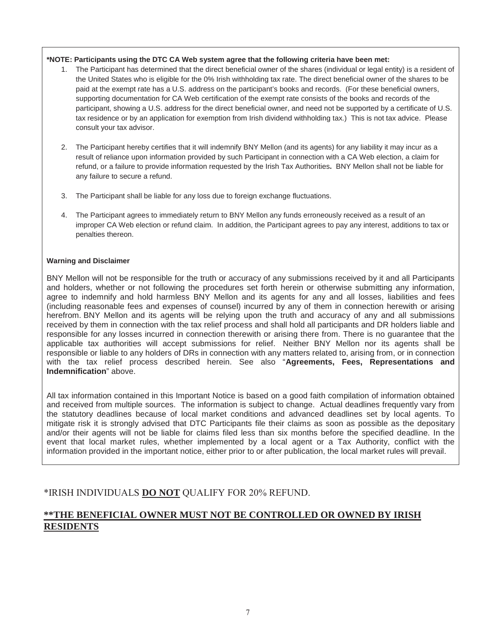#### **\*NOTE: Participants using the DTC CA Web system agree that the following criteria have been met:**

- 1. The Participant has determined that the direct beneficial owner of the shares (individual or legal entity) is a resident of the United States who is eligible for the 0% Irish withholding tax rate. The direct beneficial owner of the shares to be paid at the exempt rate has a U.S. address on the participant's books and records. (For these beneficial owners, supporting documentation for CA Web certification of the exempt rate consists of the books and records of the participant, showing a U.S. address for the direct beneficial owner, and need not be supported by a certificate of U.S. tax residence or by an application for exemption from Irish dividend withholding tax.) This is not tax advice. Please consult your tax advisor.
- 2. The Participant hereby certifies that it will indemnify BNY Mellon (and its agents) for any liability it may incur as a result of reliance upon information provided by such Participant in connection with a CA Web election, a claim for refund, or a failure to provide information requested by the Irish Tax Authorities**.** BNY Mellon shall not be liable for any failure to secure a refund.
- 3. The Participant shall be liable for any loss due to foreign exchange fluctuations.
- 4. The Participant agrees to immediately return to BNY Mellon any funds erroneously received as a result of an improper CA Web election or refund claim. In addition, the Participant agrees to pay any interest, additions to tax or penalties thereon.

#### **Warning and Disclaimer**

BNY Mellon will not be responsible for the truth or accuracy of any submissions received by it and all Participants and holders, whether or not following the procedures set forth herein or otherwise submitting any information, agree to indemnify and hold harmless BNY Mellon and its agents for any and all losses, liabilities and fees (including reasonable fees and expenses of counsel) incurred by any of them in connection herewith or arising herefrom. BNY Mellon and its agents will be relying upon the truth and accuracy of any and all submissions received by them in connection with the tax relief process and shall hold all participants and DR holders liable and responsible for any losses incurred in connection therewith or arising there from. There is no guarantee that the applicable tax authorities will accept submissions for relief. Neither BNY Mellon nor its agents shall be responsible or liable to any holders of DRs in connection with any matters related to, arising from, or in connection with the tax relief process described herein. See also "**Agreements, Fees, Representations and Indemnification**" above.

All tax information contained in this Important Notice is based on a good faith compilation of information obtained and received from multiple sources. The information is subject to change. Actual deadlines frequently vary from the statutory deadlines because of local market conditions and advanced deadlines set by local agents. To mitigate risk it is strongly advised that DTC Participants file their claims as soon as possible as the depositary and/or their agents will not be liable for claims filed less than six months before the specified deadline. In the event that local market rules, whether implemented by a local agent or a Tax Authority, conflict with the information provided in the important notice, either prior to or after publication, the local market rules will prevail.

#### \*IRISH INDIVIDUALS **DO NOT** QUALIFY FOR 20% REFUND.

#### **\*\*THE BENEFICIAL OWNER MUST NOT BE CONTROLLED OR OWNED BY IRISH RESIDENTS**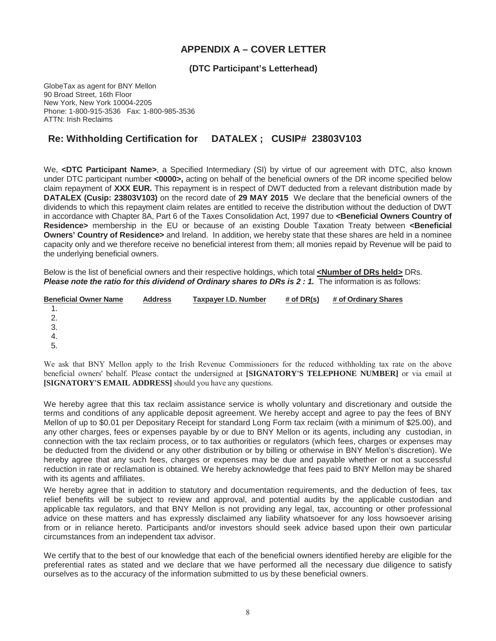## **APPENDIX A – COVER LETTER**

#### **(DTC Participant's Letterhead)**

GlobeTax as agent for BNY Mellon 90 Broad Street, 16th Floor New York, New York 10004-2205 Phone: 1-800-915-3536 Fax: 1-800-985-3536 ATTN: Irish Reclaims

## **Re: Withholding Certification for DATALEX ; CUSIP# 23803V103**

We, <DTC Participant Name>, a Specified Intermediary (SI) by virtue of our agreement with DTC, also known under DTC participant number **<0000>,** acting on behalf of the beneficial owners of the DR income specified below claim repayment of **XXX EUR.** This repayment is in respect of DWT deducted from a relevant distribution made by **DATALEX (Cusip: 23803V103)** on the record date of **29 MAY 2015** We declare that the beneficial owners of the dividends to which this repayment claim relates are entitled to receive the distribution without the deduction of DWT in accordance with Chapter 8A, Part 6 of the Taxes Consolidation Act, 1997 due to **<Beneficial Owners Country of Residence>** membership in the EU or because of an existing Double Taxation Treaty between <Beneficial **Owners' Country of Residence>** and Ireland. In addition, we hereby state that these shares are held in a nominee capacity only and we therefore receive no beneficial interest from them; all monies repaid by Revenue will be paid to the underlying beneficial owners.

Below is the list of beneficial owners and their respective holdings, which total **<Number of DRs held>** DRs. *Please note the ratio for this dividend of Ordinary shares to DRs is 2 : 1.* The information is as follows:

| <b>Beneficial Owner Name</b> | <b>Address</b> | <b>Taxpayer I.D. Number</b> | # of $DR(s)$ | # of Ordinary Shares |
|------------------------------|----------------|-----------------------------|--------------|----------------------|
|                              |                |                             |              |                      |
|                              |                |                             |              |                      |
| -3.                          |                |                             |              |                      |
| -4.                          |                |                             |              |                      |
| -5.                          |                |                             |              |                      |
|                              |                |                             |              |                      |

We ask that BNY Mellon apply to the Irish Revenue Commissioners for the reduced withholding tax rate on the above beneficial owners' behalf. Please contact the undersigned at **[SIGNATORY'S TELEPHONE NUMBER]** or via email at **[SIGNATORY'S EMAIL ADDRESS]** should you have any questions.

We hereby agree that this tax reclaim assistance service is wholly voluntary and discretionary and outside the terms and conditions of any applicable deposit agreement. We hereby accept and agree to pay the fees of BNY Mellon of up to \$0.01 per Depositary Receipt for standard Long Form tax reclaim (with a minimum of \$25.00), and any other charges, fees or expenses payable by or due to BNY Mellon or its agents, including any custodian, in connection with the tax reclaim process, or to tax authorities or regulators (which fees, charges or expenses may be deducted from the dividend or any other distribution or by billing or otherwise in BNY Mellon's discretion). We hereby agree that any such fees, charges or expenses may be due and payable whether or not a successful reduction in rate or reclamation is obtained. We hereby acknowledge that fees paid to BNY Mellon may be shared with its agents and affiliates.

We hereby agree that in addition to statutory and documentation requirements, and the deduction of fees, tax relief benefits will be subject to review and approval, and potential audits by the applicable custodian and applicable tax regulators, and that BNY Mellon is not providing any legal, tax, accounting or other professional advice on these matters and has expressly disclaimed any liability whatsoever for any loss howsoever arising from or in reliance hereto. Participants and/or investors should seek advice based upon their own particular circumstances from an independent tax advisor.

We certify that to the best of our knowledge that each of the beneficial owners identified hereby are eligible for the preferential rates as stated and we declare that we have performed all the necessary due diligence to satisfy ourselves as to the accuracy of the information submitted to us by these beneficial owners.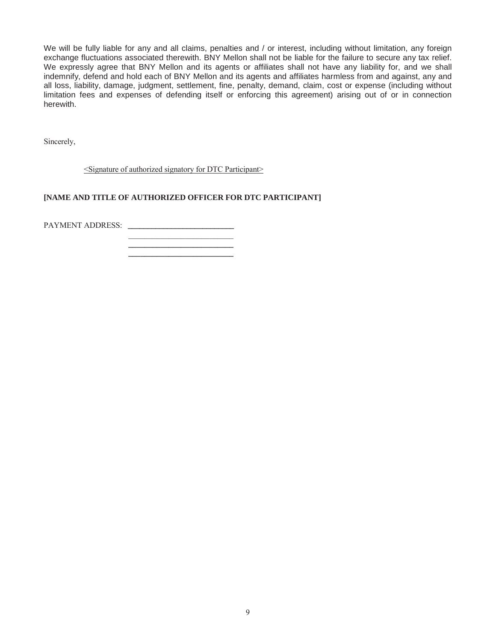We will be fully liable for any and all claims, penalties and / or interest, including without limitation, any foreign exchange fluctuations associated therewith. BNY Mellon shall not be liable for the failure to secure any tax relief. We expressly agree that BNY Mellon and its agents or affiliates shall not have any liability for, and we shall indemnify, defend and hold each of BNY Mellon and its agents and affiliates harmless from and against, any and all loss, liability, damage, judgment, settlement, fine, penalty, demand, claim, cost or expense (including without limitation fees and expenses of defending itself or enforcing this agreement) arising out of or in connection herewith.

Sincerely,

 $\leq$ Signature of authorized signatory for DTC Participant $\geq$ 

#### **[NAME AND TITLE OF AUTHORIZED OFFICER FOR DTC PARTICIPANT]**

PAYMENT ADDRESS: **\_\_\_\_\_\_\_\_\_\_\_\_\_\_\_\_\_\_\_\_\_\_\_\_\_\_\_**

 **\_\_\_\_\_\_\_\_\_\_\_\_\_\_\_\_\_\_\_\_\_\_\_\_\_\_ \_\_\_\_\_\_\_\_\_\_\_\_\_\_\_\_\_\_\_\_\_\_\_\_\_\_**

 $\mathcal{L}_\text{max} = \frac{1}{2} \sum_{i=1}^{n} \frac{1}{2} \sum_{i=1}^{n} \frac{1}{2} \sum_{i=1}^{n} \frac{1}{2} \sum_{i=1}^{n} \frac{1}{2} \sum_{i=1}^{n} \frac{1}{2} \sum_{i=1}^{n} \frac{1}{2} \sum_{i=1}^{n} \frac{1}{2} \sum_{i=1}^{n} \frac{1}{2} \sum_{i=1}^{n} \frac{1}{2} \sum_{i=1}^{n} \frac{1}{2} \sum_{i=1}^{n} \frac{1}{2} \sum_{i=1}^{n} \frac{1$